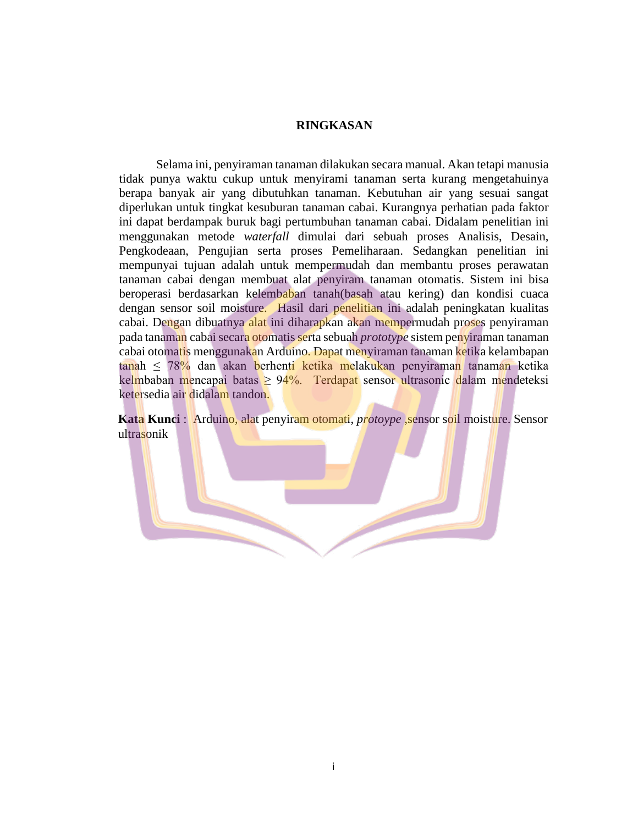## **RINGKASAN**

Selama ini, penyiraman tanaman dilakukan secara manual. Akan tetapi manusia tidak punya waktu cukup untuk menyirami tanaman serta kurang mengetahuinya berapa banyak air yang dibutuhkan tanaman. Kebutuhan air yang sesuai sangat diperlukan untuk tingkat kesuburan tanaman cabai. Kurangnya perhatian pada faktor ini dapat berdampak buruk bagi pertumbuhan tanaman cabai. Didalam penelitian ini menggunakan metode *waterfall* dimulai dari sebuah proses Analisis, Desain, Pengkodeaan, Pengujian serta proses Pemeliharaan. Sedangkan penelitian ini mempunyai tujuan adalah untuk mempermudah dan membantu proses perawatan tanaman cabai dengan membuat alat penyiram tanaman otomatis. Sistem ini bisa beroperasi berdasarkan kelembaban tanah(basah atau kering) dan kondisi cuaca dengan sensor soil moisture. Hasil dari penelitian ini adalah peningkatan kualitas cabai. Dengan dibuatnya alat ini diharapkan akan mempermudah proses penyiraman pada tanaman cabai secara otomatis serta sebuah *prototype* sistem penyiraman tanaman cabai otomatis menggunakan Arduino. Dapat menyiraman tanaman ketika kelambapan tanah ≤ 78% dan akan berhenti ketika melakukan penyiraman tanaman ketika kelmbaban mencapai batas  $\geq 94\%$ . Terdapat sensor ultrasonic dalam mendeteksi ketersedia air didalam tandon.

**Kata Kunci** : Arduino*,* alat penyiram otomati, *protoype* ,sensor soil moisture. Sensor ultrasonik